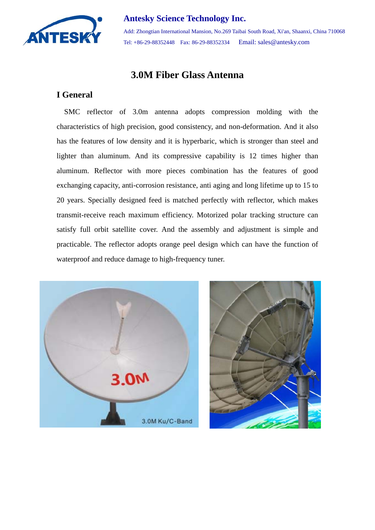

#### **Antesky Science Technology Inc.**

Add: Zhongtian International Mansion, No.269 Taibai South Road, Xi'an, Shaanxi, China 710068 Tel: +86-29-88352448 Fax: 86-29-88352334 Email: sales@antesky.com

# **3.0M Fiber Glass Antenna**

### **I General**

SMC reflector of 3.0m antenna adopts compression molding with the characteristics of high precision, good consistency, and non-deformation. And it also has the features of low density and it is hyperbaric, which is stronger than steel and lighter than aluminum. And its compressive capability is 12 times higher than aluminum. Reflector with more pieces combination has the features of good exchanging capacity, anti-corrosion resistance, anti aging and long lifetime up to 15 to 20 years. Specially designed feed is matched perfectly with reflector, which makes transmit-receive reach maximum efficiency. Motorized polar tracking structure can satisfy full orbit satellite cover. And the assembly and adjustment is simple and practicable. The reflector adopts orange peel design which can have the function of waterproof and reduce damage to high-frequency tuner.



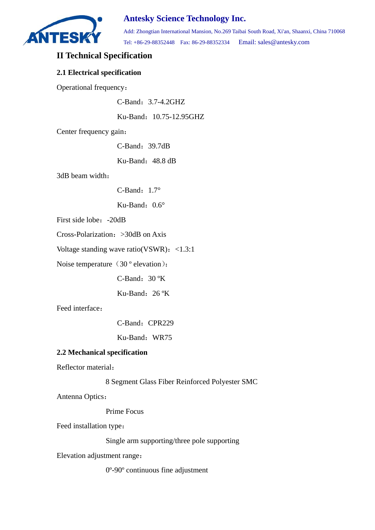

## **Antesky Science Technology Inc.**

Add: Zhongtian International Mansion, No.269 Taibai South Road, Xi'an, Shaanxi, China 710068 Tel: +86-29-88352448 Fax: 86-29-88352334 Email: sales@antesky.com

### **II Technical Specification**

#### **2.1 Electrical specification**

Operational frequency:

C-Band:3.7-4.2GHZ

Ku-Band:10.75-12.95GHZ

Center frequency gain:

C-Band:39.7dB

Ku-Band: 48.8 dB

3dB beam width:

C-Band:  $1.7^\circ$ 

Ku-Band:  $0.6^\circ$ 

First side lobe: -20dB

Cross-Polarization:>30dB on Axis

Voltage standing wave ratio(VSWR):  $\langle 1.3:1 \rangle$ 

Noise temperature (30 ° elevation):

C-Band:  $30 °K$ 

Ku-Band:  $26 \text{°K}$ 

Feed interface:

C-Band: CPR229

Ku-Band: WR75

#### **2.2 Mechanical specification**

Reflector material:

8 Segment Glass Fiber Reinforced Polyester SMC

Antenna Optics:

Prime Focus

Feed installation type:

Single arm supporting/three pole supporting

Elevation adjustment range:

0º-90º continuous fine adjustment